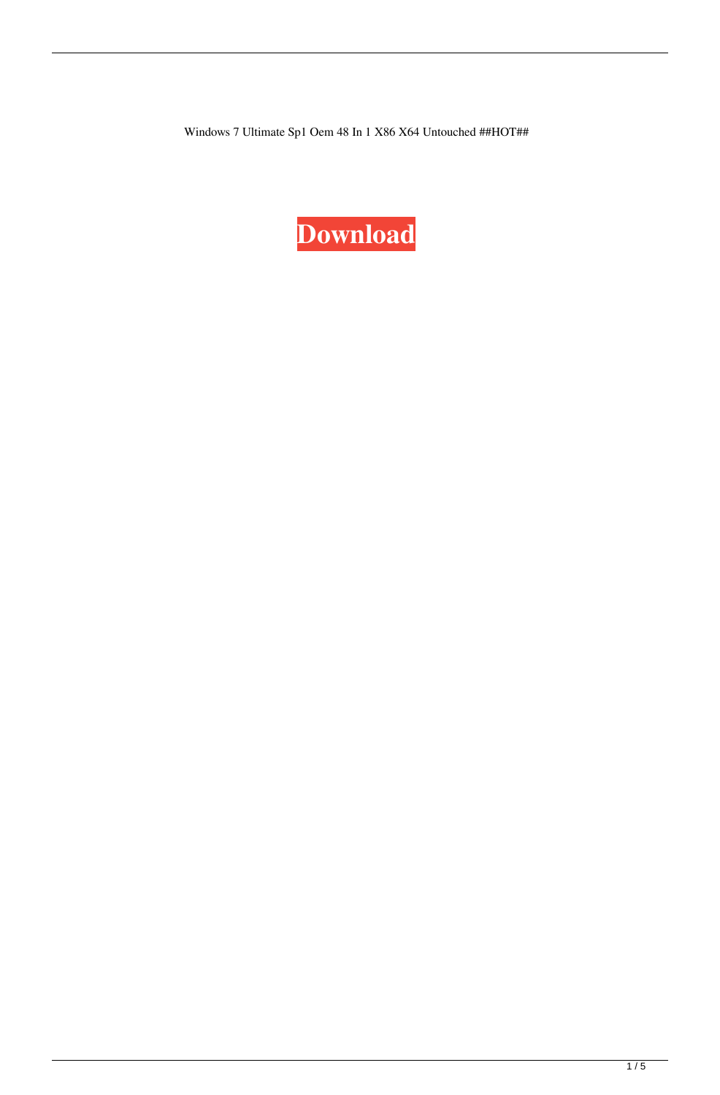Windows 7 Ultimate Sp1 Oem 48 In 1 X86 X64 Untouched ##HOT##

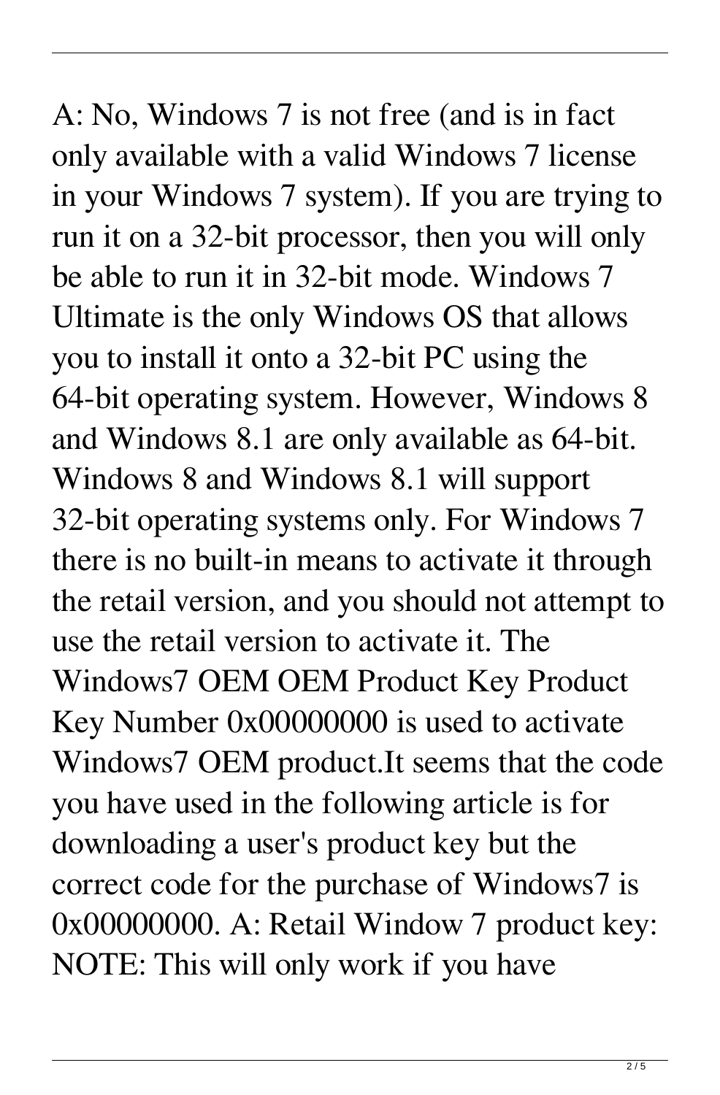A: No, Windows 7 is not free (and is in fact only available with a valid Windows 7 license in your Windows 7 system). If you are trying to run it on a 32-bit processor, then you will only be able to run it in 32-bit mode. Windows 7 Ultimate is the only Windows OS that allows you to install it onto a 32-bit PC using the 64-bit operating system. However, Windows 8 and Windows 8.1 are only available as 64-bit. Windows 8 and Windows 8.1 will support 32-bit operating systems only. For Windows 7 there is no built-in means to activate it through the retail version, and you should not attempt to use the retail version to activate it. The Windows7 OEM OEM Product Key Product Key Number 0x00000000 is used to activate Windows7 OEM product.It seems that the code you have used in the following article is for downloading a user's product key but the correct code for the purchase of Windows7 is 0x00000000. A: Retail Window 7 product key: NOTE: This will only work if you have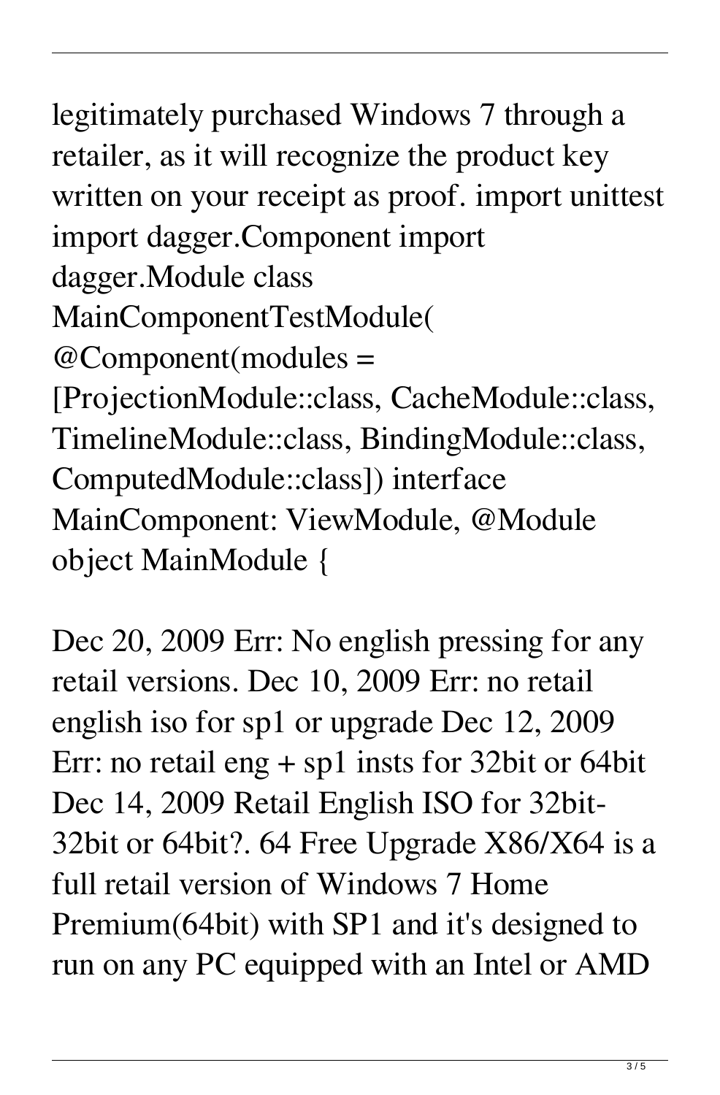legitimately purchased Windows 7 through a retailer, as it will recognize the product key written on your receipt as proof. import unittest import dagger.Component import dagger.Module class MainComponentTestModule( @Component(modules = [ProjectionModule::class, CacheModule::class, TimelineModule::class, BindingModule::class, ComputedModule::class]) interface MainComponent: ViewModule, @Module object MainModule {

Dec 20, 2009 Err: No english pressing for any retail versions. Dec 10, 2009 Err: no retail english iso for sp1 or upgrade Dec 12, 2009 Err: no retail eng + sp1 insts for 32bit or 64bit Dec 14, 2009 Retail English ISO for 32bit-32bit or 64bit?. 64 Free Upgrade X86/X64 is a full retail version of Windows 7 Home Premium(64bit) with SP1 and it's designed to run on any PC equipped with an Intel or AMD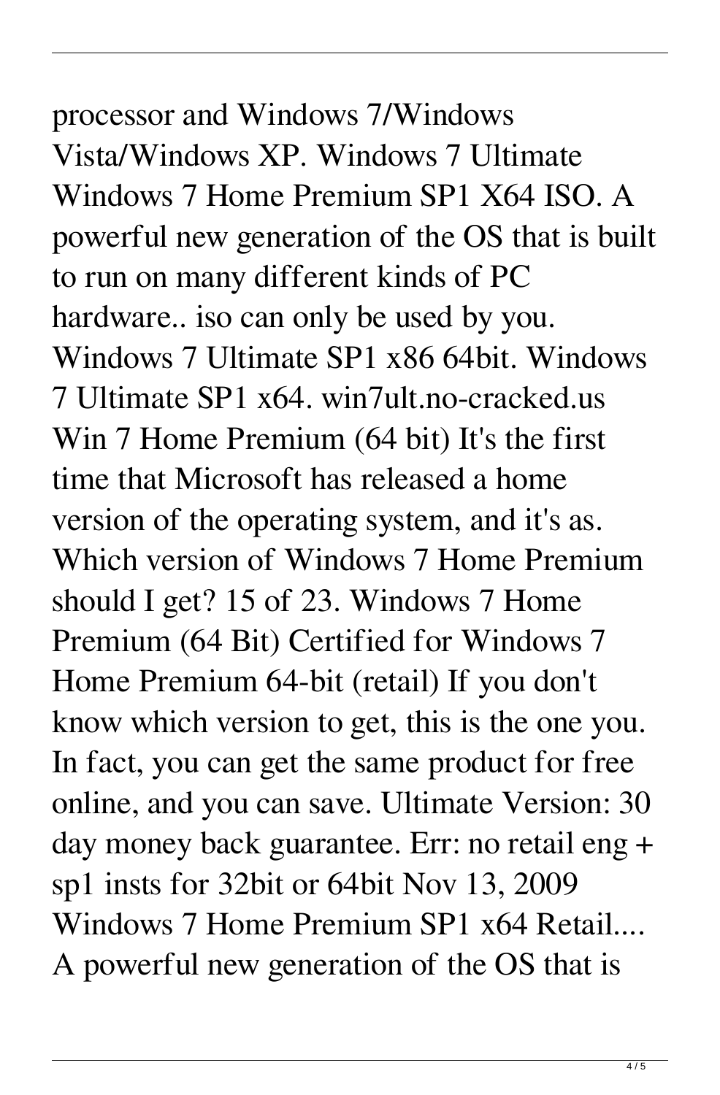## processor and Windows 7/Windows Vista/Windows XP. Windows 7 Ultimate Windows 7 Home Premium SP1 X64 ISO. A powerful new generation of the OS that is built to run on many different kinds of PC hardware.. iso can only be used by you. Windows 7 Ultimate SP1 x86 64bit. Windows 7 Ultimate SP1 x64. win7ult.no-cracked.us

Win 7 Home Premium (64 bit) It's the first time that Microsoft has released a home version of the operating system, and it's as. Which version of Windows 7 Home Premium should I get? 15 of 23. Windows 7 Home Premium (64 Bit) Certified for Windows 7 Home Premium 64-bit (retail) If you don't know which version to get, this is the one you. In fact, you can get the same product for free online, and you can save. Ultimate Version: 30 day money back guarantee. Err: no retail eng + sp1 insts for 32bit or 64bit Nov 13, 2009 Windows 7 Home Premium SP1 x64 Retail.... A powerful new generation of the OS that is